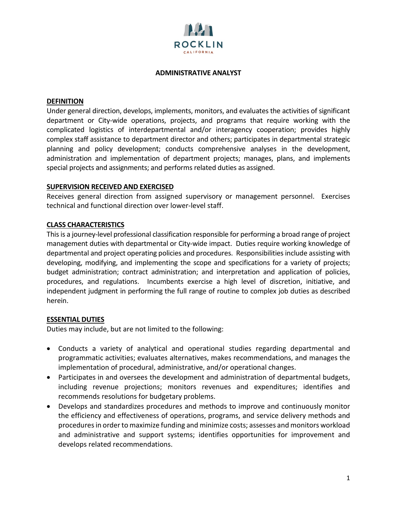

#### **ADMINISTRATIVE ANALYST**

#### **DEFINITION**

Under general direction, develops, implements, monitors, and evaluates the activities of significant department or City-wide operations, projects, and programs that require working with the complicated logistics of interdepartmental and/or interagency cooperation; provides highly complex staff assistance to department director and others; participates in departmental strategic planning and policy development; conducts comprehensive analyses in the development, administration and implementation of department projects; manages, plans, and implements special projects and assignments; and performs related duties as assigned.

#### **SUPERVISION RECEIVED AND EXERCISED**

Receives general direction from assigned supervisory or management personnel. Exercises technical and functional direction over lower-level staff.

## **CLASS CHARACTERISTICS**

This is a journey-level professional classification responsible for performing a broad range of project management duties with departmental or City-wide impact. Duties require working knowledge of departmental and project operating policies and procedures. Responsibilities include assisting with developing, modifying, and implementing the scope and specifications for a variety of projects; budget administration; contract administration; and interpretation and application of policies, procedures, and regulations. Incumbents exercise a high level of discretion, initiative, and independent judgment in performing the full range of routine to complex job duties as described herein.

## **ESSENTIAL DUTIES**

Duties may include, but are not limited to the following:

- Conducts a variety of analytical and operational studies regarding departmental and programmatic activities; evaluates alternatives, makes recommendations, and manages the implementation of procedural, administrative, and/or operational changes.
- Participates in and oversees the development and administration of departmental budgets, including revenue projections; monitors revenues and expenditures; identifies and recommends resolutions for budgetary problems.
- Develops and standardizes procedures and methods to improve and continuously monitor the efficiency and effectiveness of operations, programs, and service delivery methods and procedures in order to maximize funding and minimize costs; assesses and monitors workload and administrative and support systems; identifies opportunities for improvement and develops related recommendations.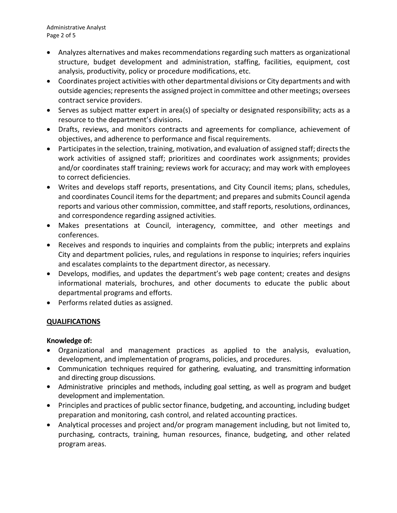Administrative Analyst Page 2 of 5

- Analyzes alternatives and makes recommendations regarding such matters as organizational structure, budget development and administration, staffing, facilities, equipment, cost analysis, productivity, policy or procedure modifications, etc.
- Coordinates project activities with other departmental divisions or City departments and with outside agencies; represents the assigned project in committee and other meetings; oversees contract service providers.
- Serves as subject matter expert in area(s) of specialty or designated responsibility; acts as a resource to the department's divisions.
- Drafts, reviews, and monitors contracts and agreements for compliance, achievement of objectives, and adherence to performance and fiscal requirements.
- Participates in the selection, training, motivation, and evaluation of assigned staff; directs the work activities of assigned staff; prioritizes and coordinates work assignments; provides and/or coordinates staff training; reviews work for accuracy; and may work with employees to correct deficiencies.
- Writes and develops staff reports, presentations, and City Council items; plans, schedules, and coordinates Council items for the department; and prepares and submits Council agenda reports and various other commission, committee, and staff reports, resolutions, ordinances, and correspondence regarding assigned activities.
- Makes presentations at Council, interagency, committee, and other meetings and conferences.
- Receives and responds to inquiries and complaints from the public; interprets and explains City and department policies, rules, and regulations in response to inquiries; refers inquiries and escalates complaints to the department director, as necessary.
- Develops, modifies, and updates the department's web page content; creates and designs informational materials, brochures, and other documents to educate the public about departmental programs and efforts.
- Performs related duties as assigned.

# **QUALIFICATIONS**

# **Knowledge of:**

- Organizational and management practices as applied to the analysis, evaluation, development, and implementation of programs, policies, and procedures.
- Communication techniques required for gathering, evaluating, and transmitting information and directing group discussions.
- Administrative principles and methods, including goal setting, as well as program and budget development and implementation.
- Principles and practices of public sector finance, budgeting, and accounting, including budget preparation and monitoring, cash control, and related accounting practices.
- Analytical processes and project and/or program management including, but not limited to, purchasing, contracts, training, human resources, finance, budgeting, and other related program areas.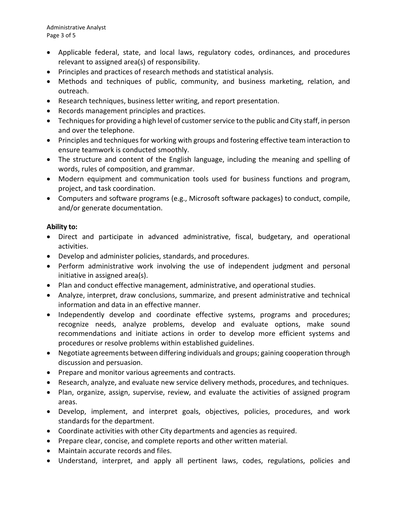Administrative Analyst Page 3 of 5

- Applicable federal, state, and local laws, regulatory codes, ordinances, and procedures relevant to assigned area(s) of responsibility.
- Principles and practices of research methods and statistical analysis.
- Methods and techniques of public, community, and business marketing, relation, and outreach.
- Research techniques, business letter writing, and report presentation.
- Records management principles and practices.
- Techniques for providing a high level of customer service to the public and City staff, in person and over the telephone.
- Principles and techniques for working with groups and fostering effective team interaction to ensure teamwork is conducted smoothly.
- The structure and content of the English language, including the meaning and spelling of words, rules of composition, and grammar.
- Modern equipment and communication tools used for business functions and program, project, and task coordination.
- Computers and software programs (e.g., Microsoft software packages) to conduct, compile, and/or generate documentation.

## **Ability to:**

- Direct and participate in advanced administrative, fiscal, budgetary, and operational activities.
- Develop and administer policies, standards, and procedures.
- Perform administrative work involving the use of independent judgment and personal initiative in assigned area(s).
- Plan and conduct effective management, administrative, and operational studies.
- Analyze, interpret, draw conclusions, summarize, and present administrative and technical information and data in an effective manner.
- Independently develop and coordinate effective systems, programs and procedures; recognize needs, analyze problems, develop and evaluate options, make sound recommendations and initiate actions in order to develop more efficient systems and procedures or resolve problems within established guidelines.
- Negotiate agreements between differing individuals and groups; gaining cooperation through discussion and persuasion.
- Prepare and monitor various agreements and contracts.
- Research, analyze, and evaluate new service delivery methods, procedures, and techniques.
- Plan, organize, assign, supervise, review, and evaluate the activities of assigned program areas.
- Develop, implement, and interpret goals, objectives, policies, procedures, and work standards for the department.
- Coordinate activities with other City departments and agencies as required.
- Prepare clear, concise, and complete reports and other written material.
- Maintain accurate records and files.
- Understand, interpret, and apply all pertinent laws, codes, regulations, policies and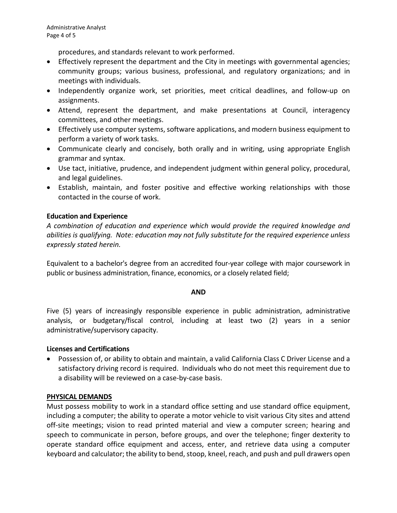procedures, and standards relevant to work performed.

- Effectively represent the department and the City in meetings with governmental agencies; community groups; various business, professional, and regulatory organizations; and in meetings with individuals.
- Independently organize work, set priorities, meet critical deadlines, and follow-up on assignments.
- Attend, represent the department, and make presentations at Council, interagency committees, and other meetings.
- Effectively use computer systems, software applications, and modern business equipment to perform a variety of work tasks.
- Communicate clearly and concisely, both orally and in writing, using appropriate English grammar and syntax.
- Use tact, initiative, prudence, and independent judgment within general policy, procedural, and legal guidelines.
- Establish, maintain, and foster positive and effective working relationships with those contacted in the course of work.

# **Education and Experience**

*A combination of education and experience which would provide the required knowledge and abilities is qualifying. Note: education may not fully substitute for the required experience unless expressly stated herein.*

Equivalent to a bachelor's degree from an accredited four-year college with major coursework in public or business administration, finance, economics, or a closely related field;

#### **AND**

Five (5) years of increasingly responsible experience in public administration, administrative analysis, or budgetary/fiscal control, including at least two (2) years in a senior administrative/supervisory capacity.

## **Licenses and Certifications**

• Possession of, or ability to obtain and maintain, a valid California Class C Driver License and a satisfactory driving record is required. Individuals who do not meet this requirement due to a disability will be reviewed on a case-by-case basis.

## **PHYSICAL DEMANDS**

Must possess mobility to work in a standard office setting and use standard office equipment, including a computer; the ability to operate a motor vehicle to visit various City sites and attend off-site meetings; vision to read printed material and view a computer screen; hearing and speech to communicate in person, before groups, and over the telephone; finger dexterity to operate standard office equipment and access, enter, and retrieve data using a computer keyboard and calculator; the ability to bend, stoop, kneel, reach, and push and pull drawers open